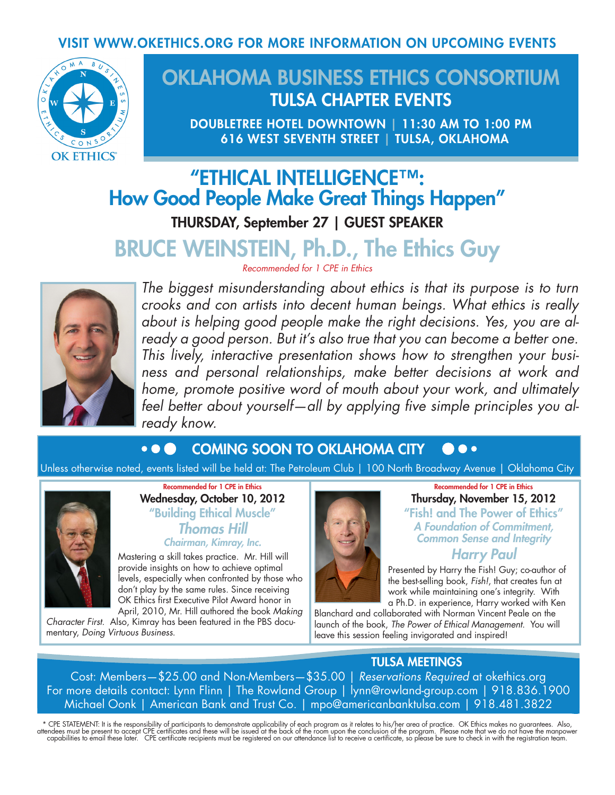## VISIT WWW.OKETHICS.ORG FOR MORE INFORMATION ON UPCOMING EVENTS



## OKLAHOMA BUSINESS ETHICS CONSORTIUM TULSA CHAPTER EVENTS

DOUBLETREE HOTEL DOWNTOWN | 11:30 AM TO 1:00 PM 616 WEST SEVENTH STREET | TULSA, OKLAHOMA

# "ETHICAL INTELLIGENCE™: How Good People Make Great Things Happen"

THURSDAY, September 27 | GUEST SPEAKER

# BRUCE WEINSTEIN, Ph.D., The Ethics Guy

*Recommended for 1 CPE in Ethics*



*The biggest misunderstanding about ethics is that its purpose is to turn crooks and con artists into decent human beings. What ethics is really about is helping good people make the right decisions. Yes, you are already a good person. But it's also true that you can become a better one. This lively, interactive presentation shows how to strengthen your business and personal relationships, make better decisions at work and home, promote positive word of mouth about your work, and ultimately feel better about yourself—all by applying five simple principles you already know.*

#### COMING SOON TO OKLAHOMA CITY $\bullet$   $\bullet$   $\bullet$

Unless otherwise noted, events listed will be held at: The Petroleum Club | 100 North Broadway Avenue | Oklahoma City



Recommended for 1 CPE in Ethics Wednesday, October 10, 2012 "Building Ethical Muscle" *Thomas Hill Chairman, Kimray, Inc.*

Mastering a skill takes practice. Mr. Hill will provide insights on how to achieve optimal levels, especially when confronted by those who don't play by the same rules. Since receiving OK Ethics first Executive Pilot Award honor in April, 2010, Mr. Hill authored the book *Making* 

*Character First*. Also, Kimray has been featured in the PBS documentary, *Doing Virtuous Business*.



Recommended for 1 CPE in Ethics Thursday, November 15, 2012 "Fish! and The Power of Ethics" *A Foundation of Commitment, Common Sense and Integrity Harry Paul*

Presented by Harry the Fish! Guy; co-author of the best-selling book, *Fish!*, that creates fun at work while maintaining one's integrity. With a Ph.D. in experience, Harry worked with Ken

Blanchard and collaborated with Norman Vincent Peale on the launch of the book, *The Power of Ethical Management*. You will leave this session feeling invigorated and inspired!

## TULSA MEETINGS

Cost: Members—\$25.00 and Non-Members—\$35.00 | *Reservations Required* at okethics.org For more details contact: Lynn Flinn | The Rowland Group | lynn@rowland-group.com | 918.836.1900 Michael Oonk | American Bank and Trust Co. | mpo@americanbanktulsa.com | 918.481.3822

\* CPE STATEMENT: It is the responsibility of participants to demonstrate applicability of each program as it relates to his/her area of practice. OK Ethics makes no guarantees. Also,<br>attendees must be present to accept CPE